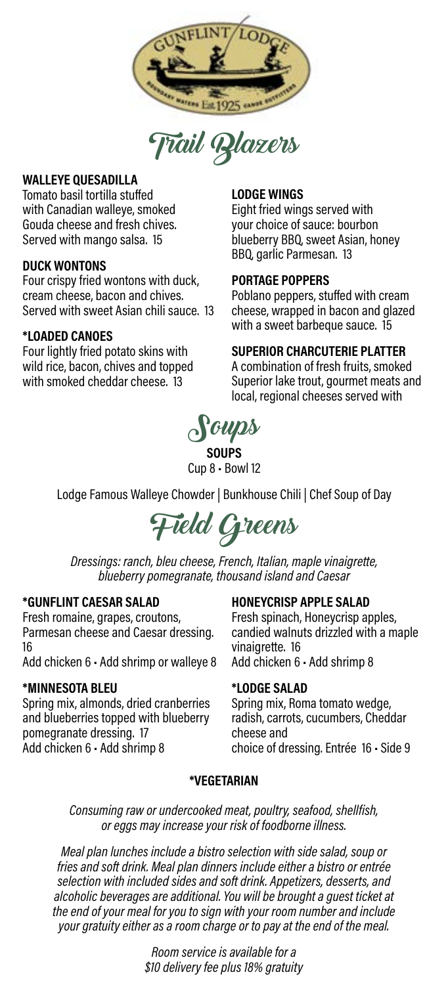

Trail Blazers

### **WALLEYE QUESADILLA**

Tomato basil tortilla stuffed with Canadian walleye, smoked Gouda cheese and fresh chives. Served with mango salsa. 15

### **DUCK WONTONS**

Four crispy fried wontons with duck, cream cheese, bacon and chives. Served with sweet Asian chili sauce. 13

### **\*LOADED CANOES**

Four lightly fried potato skins with wild rice, bacon, chives and topped with smoked cheddar cheese. 13

### **LODGE WINGS**

Eight fried wings served with your choice of sauce: bourbon blueberry BBQ, sweet Asian, honey BBQ, garlic Parmesan. 13

### **PORTAGE POPPERS**

Poblano peppers, stuffed with cream cheese, wrapped in bacon and glazed with a sweet barbeque sauce. 15

### **SUPERIOR CHARCUTERIE PLATTER**

A combination of fresh fruits, smoked Superior lake trout, gourmet meats and local, regional cheeses served with



**SOUPS** Cup 8 • Bowl 12

Lodge Famous Walleye Chowder | Bunkhouse Chili | Chef Soup of Day

Field Greens

*Dressings: ranch, bleu cheese, French, Italian, maple vinaigrette, blueberry pomegranate, thousand island and Caesar*

#### **\*GUNFLINT CAESAR SALAD**

Fresh romaine, grapes, croutons, Parmesan cheese and Caesar dressing. 16

Add chicken 6 • Add shrimp or walleye 8

#### **\*MINNESOTA BLEU**

Spring mix, almonds, dried cranberries and blueberries topped with blueberry pomegranate dressing. 17 Add chicken 6 • Add shrimp 8

#### **HONEYCRISP APPLE SALAD**

Fresh spinach, Honeycrisp apples, candied walnuts drizzled with a maple vinaigrette. 16 Add chicken 6 • Add shrimp 8

#### **\*LODGE SALAD**

Spring mix, Roma tomato wedge, radish, carrots, cucumbers, Cheddar cheese and choice of dressing. Entrée 16 • Side 9

#### **\*VEGETARIAN**

*Consuming raw or undercooked meat, poultry, seafood, shellfish, or eggs may increase your risk of foodborne illness.*

*Meal plan lunches include a bistro selection with side salad, soup or fries and soft drink. Meal plan dinners include either a bistro or entrée selection with included sides and soft drink. Appetizers, desserts, and alcoholic beverages are additional. You will be brought a guest ticket at the end of your meal for you to sign with your room number and include your gratuity either as a room charge or to pay at the end of the meal.*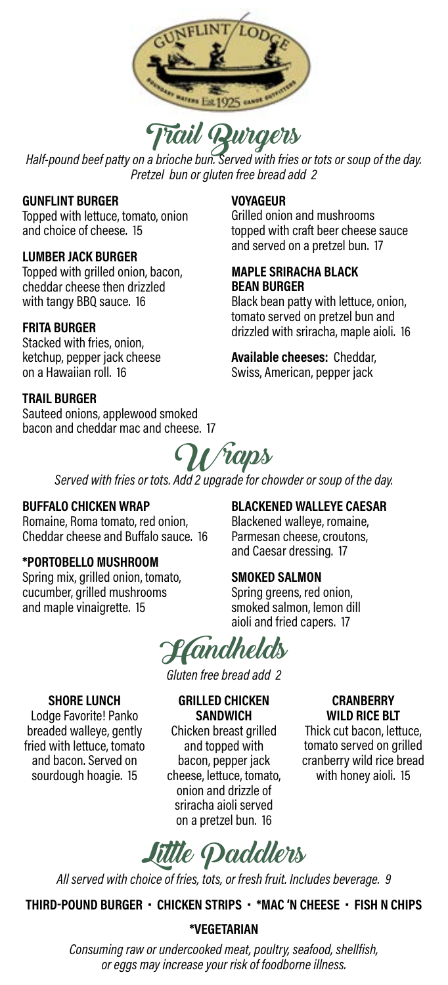

**Half-pound beef patty on a brioche bun. Served with fries or tots or soup of the day.**<br>Half-pound beef patty on a brioche bun. Served with fries or tots or soup of the day. *Pretzel bun or gluten free bread add 2*

#### **GUNFLINT BURGER**

Topped with lettuce, tomato, onion and choice of cheese. 15

### **LUMBER JACK BURGER**

Topped with grilled onion, bacon, cheddar cheese then drizzled with tangy BBQ sauce. 16

### **FRITA BURGER**

Stacked with fries, onion, ketchup, pepper jack cheese on a Hawaiian roll. 16

#### **TRAIL BURGER**

Sauteed onions, applewood smoked bacon and cheddar mac and cheese. 17

### **VOYAGEUR**

Grilled onion and mushrooms topped with craft beer cheese sauce and served on a pretzel bun. 17

#### **MAPLE SRIRACHA BLACK BEAN BURGER**

Black bean patty with lettuce, onion, tomato served on pretzel bun and drizzled with sriracha, maple aioli. 16

**Available cheeses:** Cheddar, Swiss, American, pepper jack

Wraps

*Served with fries or tots. Add 2 upgrade for chowder or soup of the day.*

#### **BUFFALO CHICKEN WRAP**

Romaine, Roma tomato, red onion, Cheddar cheese and Buffalo sauce. 16

### **\*PORTOBELLO MUSHROOM**

Spring mix, grilled onion, tomato, cucumber, grilled mushrooms and maple vinaigrette. 15

### **BLACKENED WALLEYE CAESAR**

Blackened walleye, romaine, Parmesan cheese, croutons, and Caesar dressing. 17

### **SMOKED SALMON**

Spring greens, red onion, smoked salmon, lemon dill aioli and fried capers. 17

Handhelds

*Gluten free bread add 2* **GRILLED CHICKEN** 

#### **SHORE LUNCH**

Lodge Favorite! Panko breaded walleye, gently fried with lettuce, tomato and bacon. Served on sourdough hoagie. 15

**SANDWICH** Chicken breast grilled and topped with bacon, pepper jack cheese, lettuce, tomato, onion and drizzle of sriracha aioli served on a pretzel bun. 16

#### **CRANBERRY WILD RICE BLT**

Thick cut bacon, lettuce, tomato served on grilled cranberry wild rice bread with honey aioli. 15

Little Paddlers

*All served with choice of fries, tots, or fresh fruit. Includes beverage. 9*

### **THIRD-POUND BURGER • CHICKEN STRIPS • \*MAC 'N CHEESE • FISH N CHIPS**

#### **\*VEGETARIAN**

*Consuming raw or undercooked meat, poultry, seafood, shellfish, or eggs may increase your risk of foodborne illness.*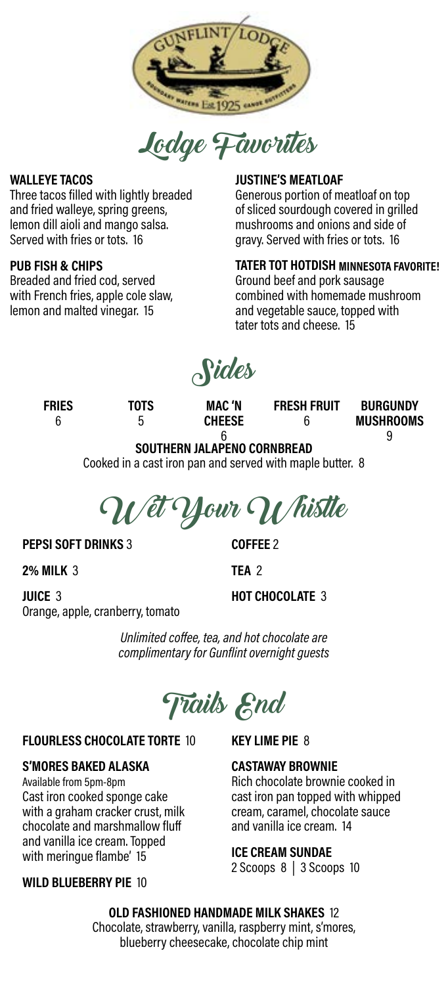

Lodge Favorites

### **WALLEYE TACOS**

Three tacos filled with lightly breaded and fried walleye, spring greens, lemon dill aioli and mango salsa. Served with fries or tots. 16

### **PUB FISH & CHIPS**

Breaded and fried cod, served with French fries, apple cole slaw, lemon and malted vinegar. 15

### **JUSTINE'S MEATLOAF**

Generous portion of meatloaf on top of sliced sourdough covered in grilled mushrooms and onions and side of gravy. Served with fries or tots. 16

### **TATER TOT HOTDISH MINNESOTA FAVORITE!**

Ground beef and pork sausage combined with homemade mushroom and vegetable sauce, topped with tater tots and cheese. 15

Sides

**FRIES** 6

**TOTS** 5

**MAC 'N CHEESE** **FRESH FRUIT** 6

**BURGUNDY MUSHROOMS**  9

#### 6 **SOUTHERN JALAPENO CORNBREAD**

Cooked in a cast iron pan and served with maple butter. 8



#### **PEPSI SOFT DRINKS** 3

**2% MILK** 3

**COFFEE** 2 **TEA** 2

**HOT CHOCOLATE** 3

**JUICE** 3 Orange, apple, cranberry, tomato

> *Unlimited coffee, tea, and hot chocolate are complimentary for Gunflint overnight guests*

Trails End

#### **FLOURLESS CHOCOLATE TORTE** 10

### **S'MORES BAKED ALASKA**

Available from 5pm-8pm Cast iron cooked sponge cake with a graham cracker crust, milk chocolate and marshmallow fluff and vanilla ice cream. Topped with meringue flambe' 15

### **WILD BLUEBERRY PIE** 10

**KEY LIME PIE** 8

### **CASTAWAY BROWNIE**

Rich chocolate brownie cooked in cast iron pan topped with whipped cream, caramel, chocolate sauce and vanilla ice cream. 14

#### **ICE CREAM SUNDAE**

2 Scoops 8 | 3 Scoops 10

### **OLD FASHIONED HANDMADE MILK SHAKES** 12

Chocolate, strawberry, vanilla, raspberry mint, s'mores, blueberry cheesecake, chocolate chip mint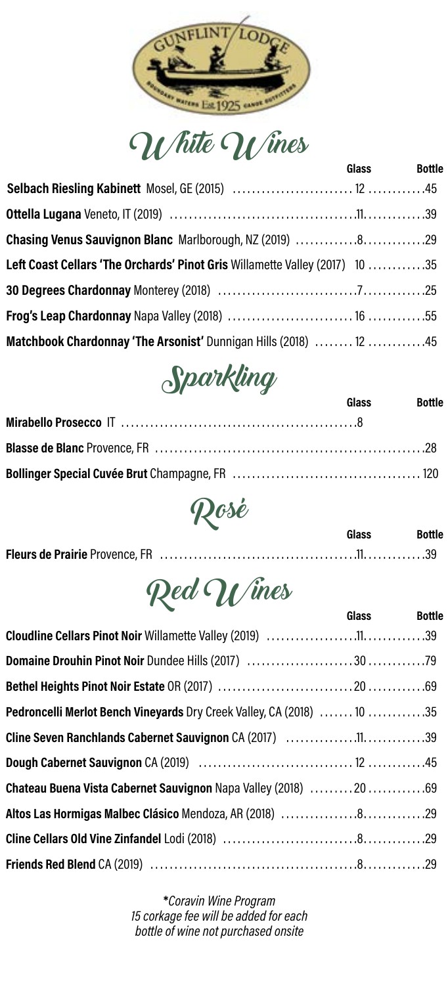

White Wines

|                                                                             | <b>Glass</b> | <b>Bottle</b> |
|-----------------------------------------------------------------------------|--------------|---------------|
|                                                                             |              |               |
|                                                                             |              |               |
| Chasing Venus Sauvignon Blanc Marlborough, NZ (2019) 829                    |              |               |
| Left Coast Cellars 'The Orchards' Pinot Gris Willamette Valley (2017) 10 35 |              |               |
|                                                                             |              |               |
|                                                                             |              |               |
| Matchbook Chardonnay 'The Arsonist' Dunnigan Hills (2018)  12 45            |              |               |



| Glass | <b>Bottle</b> |
|-------|---------------|
|       |               |
|       |               |
|       |               |



|  | Glass | <b>Bottle</b> |
|--|-------|---------------|
|  |       |               |



|                                                                       | Glass | <b>Bottle</b> |
|-----------------------------------------------------------------------|-------|---------------|
|                                                                       |       |               |
|                                                                       |       |               |
|                                                                       |       |               |
| Pedroncelli Merlot Bench Vineyards Dry Creek Valley, CA (2018)  10 35 |       |               |
|                                                                       |       |               |
|                                                                       |       |               |
| Chateau Buena Vista Cabernet Sauvignon Napa Valley (2018) 2069        |       |               |
| Altos Las Hormigas Malbec Clásico Mendoza, AR (2018) 829              |       |               |
|                                                                       |       |               |
|                                                                       |       |               |

**\****Coravin Wine Program 15 corkage fee will be added for each bottle of wine not purchased onsite*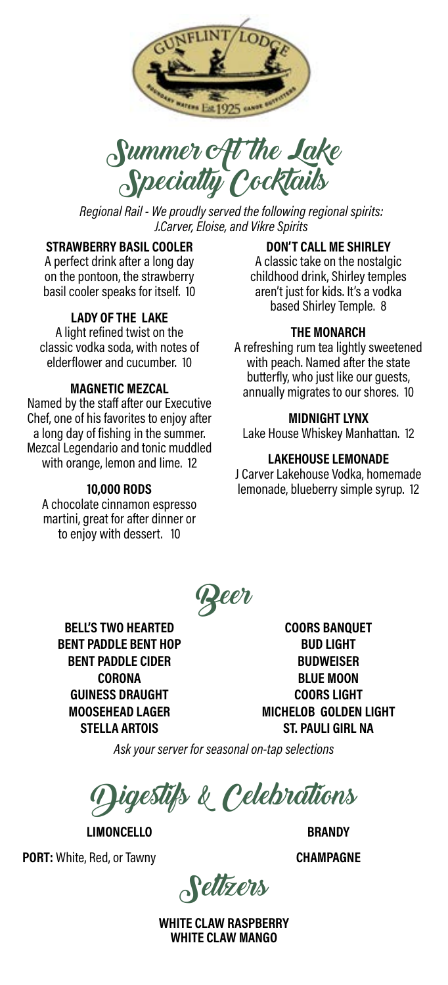



*Regional Rail - We proudly served the following regional spirits: J.Carver, Eloise, and Vikre Spirits*

### **STRAWBERRY BASIL COOLER**

A perfect drink after a long day on the pontoon, the strawberry basil cooler speaks for itself. 10

### **LADY OF THE LAKE**

A light refined twist on the classic vodka soda, with notes of elderflower and cucumber. 10

### **MAGNETIC MEZCAL**

Named by the staff after our Executive Chef, one of his favorites to enjoy after a long day of fishing in the summer. Mezcal Legendario and tonic muddled with orange, lemon and lime. 12

#### **10,000 RODS**

A chocolate cinnamon espresso martini, great for after dinner or to enjoy with dessert. 10

### **DON'T CALL ME SHIRLEY**

A classic take on the nostalgic childhood drink, Shirley temples aren't just for kids. It's a vodka based Shirley Temple. 8

#### **THE MONARCH**

A refreshing rum tea lightly sweetened with peach. Named after the state butterfly, who just like our guests, annually migrates to our shores. 10

#### **MIDNIGHT LYNX**

Lake House Whiskey Manhattan. 12

### **LAKEHOUSE LEMONADE**

J Carver Lakehouse Vodka, homemade lemonade, blueberry simple syrup. 12

Beer

**BELL'S TWO HEARTED BENT PADDLE BENT HOP BENT PADDLE CIDER CORONA GUINESS DRAUGHT MOOSEHEAD LAGER STELLA ARTOIS**

**COORS BANQUET BUD LIGHT BUDWEISER BLUE MOON COORS LIGHT MICHELOB GOLDEN LIGHT ST. PAULI GIRL NA**

*Ask your server for seasonal on-tap selections*

 $\mu$ igestifs & Celebrations

**LIMONCELLO**

**PORT:** White, Red, or Tawny

**BRANDY CHAMPAGNE**

Seltzers

**WHITE CLAW RASPBERRY WHITE CLAW MANGO**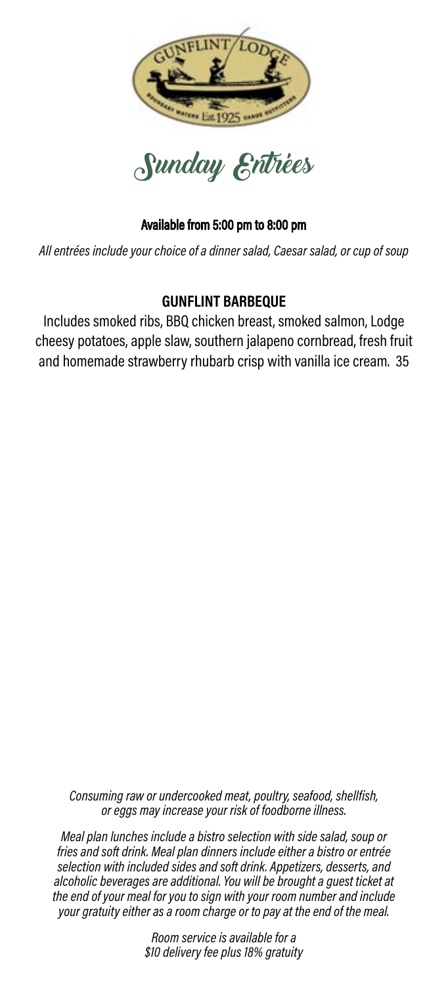



*All entrées include your choice of a dinner salad, Caesar salad, or cup of soup* 

## **GUNFLINT BARBEQUE**

Includes smoked ribs, BBQ chicken breast, smoked salmon, Lodge cheesy potatoes, apple slaw, southern jalapeno cornbread, fresh fruit and homemade strawberry rhubarb crisp with vanilla ice cream. 35

*Consuming raw or undercooked meat, Consuming raw or undercooked meat, poultry, seafood, shellfish, poultry, seafood, shellfish, or eggs may or eggs may increase your risk of foodborne illness. increase your risk of foodborne illness.*

*Meal plan lunches include a bistro selection fries and soft drink. Meal plan dinners include either a bistro or entrée with side salad, soup or fries and soft drink. Meal selection with included sides and soft drink. Appetizers, desserts, and plan dinners include either a bistro or entrée alcoholic beverages are additional. You will be brought a guest ticket at selection with included sides and soft drink. the end of your meal for you to sign with your room number and include Appetizers, desserts, and alcoholic beverages are your gratuity either as a room charge or to pay at the end of the meal. not gratuly brains as a room brange of to Meal plan lunches include a bistro selection with side salad, soup or* 

*at the end of your meal for you to sign with your Room service is available for a \$10 delivery fee plus 18% gratuity*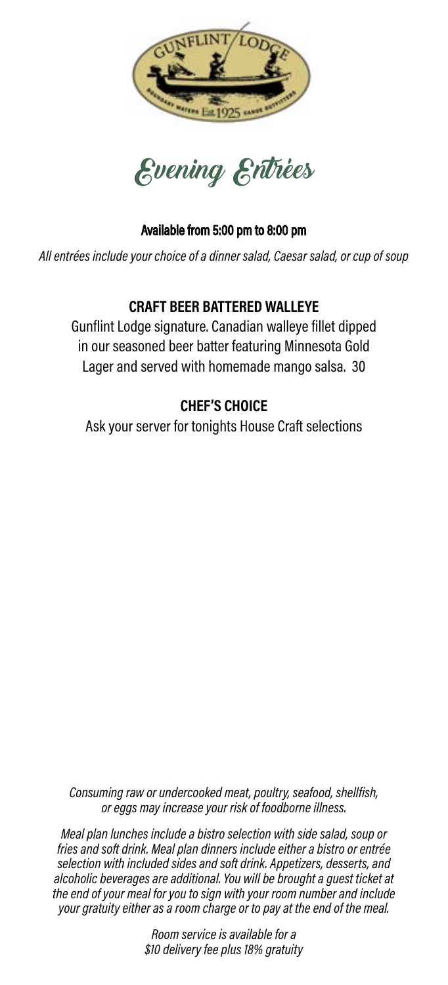



*All entrées include your choice of a dinner salad, Caesar salad, or cup of soup* 

## **CRAFT BEER BATTERED WALLEYE**

Gunflint Lodge signature. Canadian walleye fillet dipped in our seasoned beer batter featuring Minnesota Gold Lager and served with homemade mango salsa. 30

## **CHEF'S CHOICE**

Ask your server for tonights House Craft selections

*Consuming raw or undercooked meat, Consuming raw or undercooked meat, poultry, seafood, shellfish, poultry, seafood, shellfish, or eggs may or eggs may increase your risk of foodborne illness.*

*increase your risk of foodborne illness. Meal plan lunches include a bistro selection fries and soft drink. Meal plan dinners include either a bistro or entrée with side salad, soup or fries and soft drink. Meal selection with included sides and soft drink. Appetizers, desserts, and plan dinners include either a bistro or entrée alcoholic beverages are additional. You will be brought a guest ticket at selection with included sides and soft drink. the end of your meal for you to sign with your room number and include Appetizers, desserts, and alcoholic beverages are your gratuity either as a room charge or to pay at the end of the meal. Meal plan lunches include a bistro selection with side salad, soup or* 

*not included. You will be brought a guest ticket Room service is available for a \$10 delivery fee plus 18% gratuity*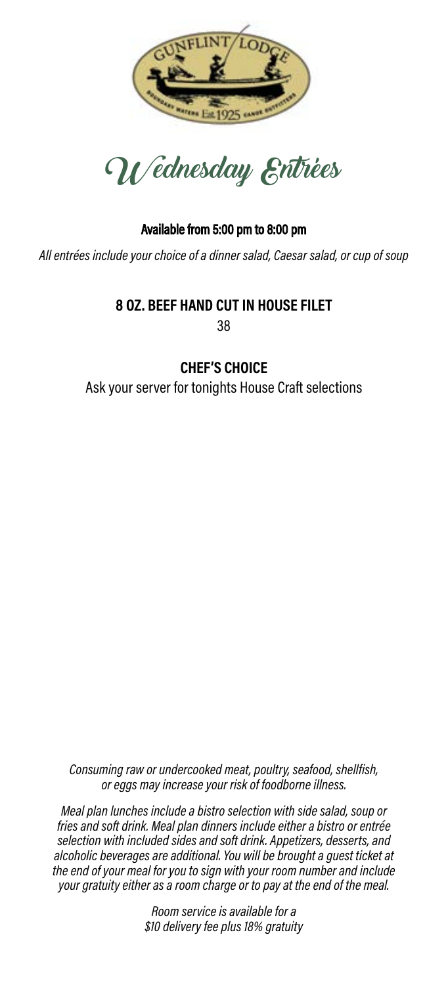



*All entrées include your choice of a dinner salad, Caesar salad, or cup of soup* 

## **8 OZ. BEEF HAND CUT IN HOUSE FILET** 38

## **CHEF'S CHOICE**

Ask your server for tonights House Craft selections

*Consuming raw or undercooked meat, poultry, seafood, shellfish, or eggs may increase your risk of foodborne illness.*

*Meal plan lunches include a bistro selection with side salad, soup or fries and soft drink. Meal plan dinners include either a bistro or entrée selection with included sides and soft drink. Appetizers, desserts, and alcoholic beverages are additional. You will be brought a guest ticket at the end of your meal for you to sign with your room number and include your gratuity either as a room charge or to pay at the end of the meal.*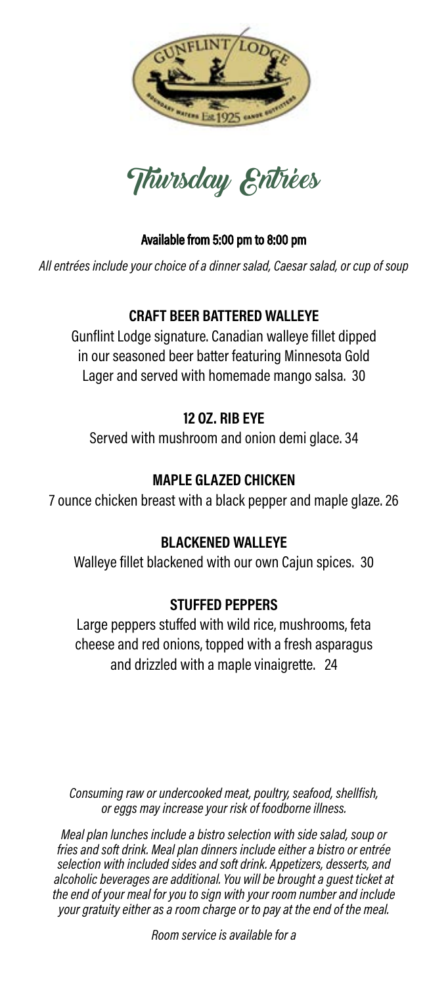



*All entrées include your choice of a dinner salad, Caesar salad, or cup of soup* 

## **CRAFT BEER BATTERED WALLEYE**

Gunflint Lodge signature. Canadian walleye fillet dipped in our seasoned beer batter featuring Minnesota Gold Lager and served with homemade mango salsa. 30

# **12 OZ. RIB EYE**

Served with mushroom and onion demi glace. 34

## **MAPLE GLAZED CHICKEN**

7 ounce chicken breast with a black pepper and maple glaze. 26

## **BLACKENED WALLEYE**

Walleye fillet blackened with our own Cajun spices. 30

## **STUFFED PEPPERS**

Large peppers stuffed with wild rice, mushrooms, feta cheese and red onions, topped with a fresh asparagus and drizzled with a maple vinaigrette. 24

*Consuming raw or undercooked meat, poultry, seafood, shellfish, or eggs may increase your risk of foodborne illness.*

*Meal plan lunches include a bistro selection with side salad, soup or fries and soft drink. Meal plan dinners include either a bistro or entrée selection with included sides and soft drink. Appetizers, desserts, and*  alcoholic beverages are additional. You will be brought a guest ticket at *the end of your meal for you to sign with your room number and include your gratuity either as a room charge or to pay at the end of the meal.*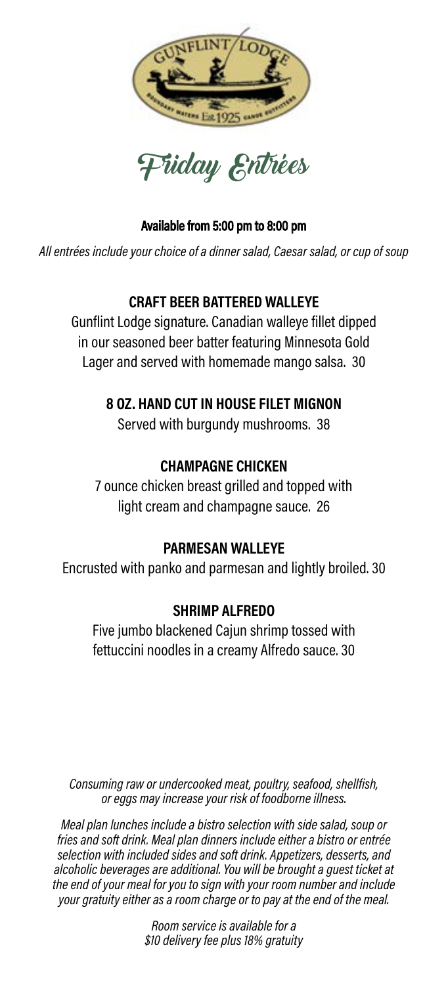



*All entrées include your choice of a dinner salad, Caesar salad, or cup of soup* 

## **CRAFT BEER BATTERED WALLEYE**

Gunflint Lodge signature. Canadian walleye fillet dipped in our seasoned beer batter featuring Minnesota Gold Lager and served with homemade mango salsa. 30

## **8 OZ. HAND CUT IN HOUSE FILET MIGNON**

Served with burgundy mushrooms. 38

# **CHAMPAGNE CHICKEN**

7 ounce chicken breast grilled and topped with light cream and champagne sauce. 26

## **PARMESAN WALLEYE**

Encrusted with panko and parmesan and lightly broiled. 30

## **SHRIMP ALFREDO**

Five jumbo blackened Cajun shrimp tossed with fettuccini noodles in a creamy Alfredo sauce. 30

*Consuming raw or undercooked meat, poultry, seafood, shellfish, or eggs may increase your risk of foodborne illness.*

*Meal plan lunches include a bistro selection with side salad, soup or fries and soft drink. Meal plan dinners include either a bistro or entrée selection with included sides and soft drink. Appetizers, desserts, and alcoholic beverages are additional. You will be brought a guest ticket at the end of your meal for you to sign with your room number and include your gratuity either as a room charge or to pay at the end of the meal.*